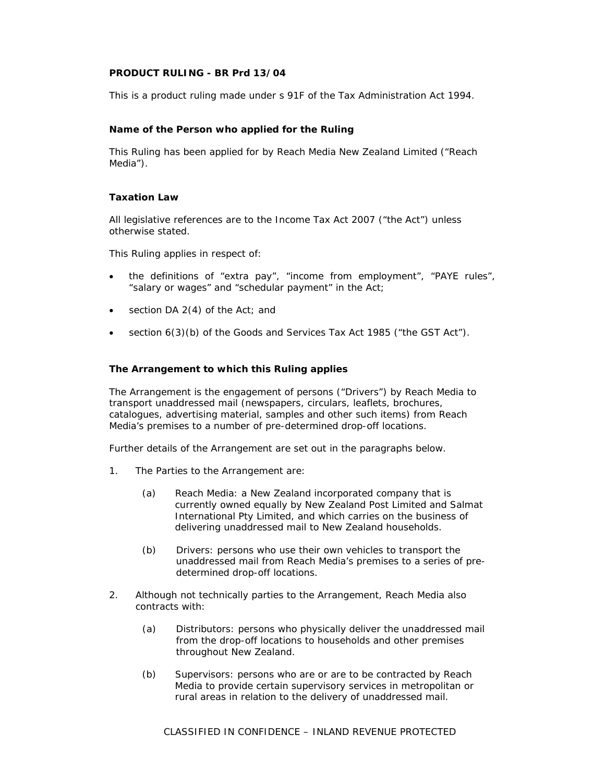# **PRODUCT RULING - BR Prd 13/04**

This is a product ruling made under s 91F of the Tax Administration Act 1994.

# **Name of the Person who applied for the Ruling**

This Ruling has been applied for by Reach Media New Zealand Limited ("Reach Media").

# **Taxation Law**

All legislative references are to the Income Tax Act 2007 ("the Act") unless otherwise stated.

This Ruling applies in respect of:

- the definitions of "extra pay", "income from employment", "PAYE rules", "salary or wages" and "schedular payment" in the Act;
- section DA 2(4) of the Act; and
- section 6(3)(b) of the Goods and Services Tax Act 1985 ("the GST Act").

### **The Arrangement to which this Ruling applies**

The Arrangement is the engagement of persons ("Drivers") by Reach Media to transport unaddressed mail (newspapers, circulars, leaflets, brochures, catalogues, advertising material, samples and other such items) from Reach Media's premises to a number of pre-determined drop-off locations.

Further details of the Arrangement are set out in the paragraphs below.

- 1. The Parties to the Arrangement are:
	- (a) Reach Media: a New Zealand incorporated company that is currently owned equally by New Zealand Post Limited and Salmat International Pty Limited, and which carries on the business of delivering unaddressed mail to New Zealand households.
	- (b) Drivers: persons who use their own vehicles to transport the unaddressed mail from Reach Media's premises to a series of pre determined drop-off locations.
- 2. Although not technically parties to the Arrangement, Reach Media also contracts with:
	- (a) Distributors: persons who physically deliver the unaddressed mail from the drop-off locations to households and other premises throughout New Zealand.
	- (b) Supervisors: persons who are or are to be contracted by Reach Media to provide certain supervisory services in metropolitan or rural areas in relation to the delivery of unaddressed mail.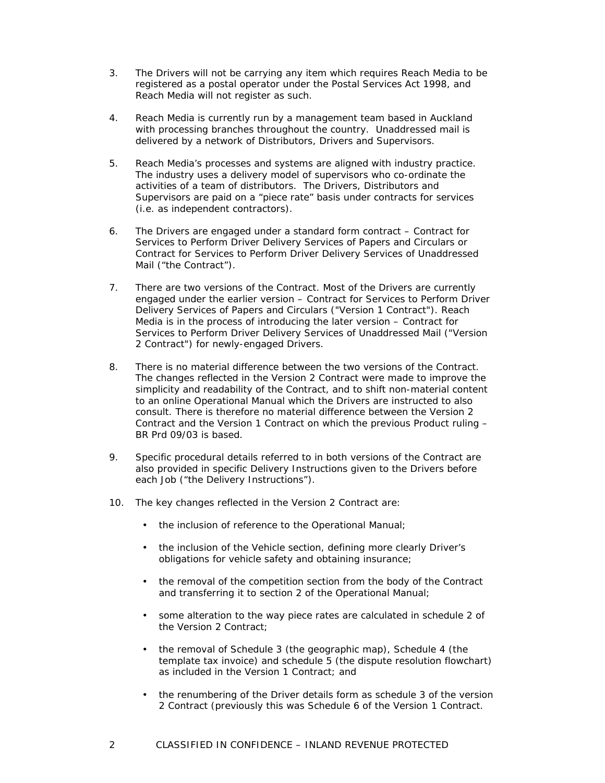- 3. The Drivers will not be carrying any item which requires Reach Media to be registered as a postal operator under the Postal Services Act 1998, and Reach Media will not register as such.
- 4. Reach Media is currently run by a management team based in Auckland with processing branches throughout the country. Unaddressed mail is delivered by a network of Distributors, Drivers and Supervisors.
- 5. Reach Media's processes and systems are aligned with industry practice. The industry uses a delivery model of supervisors who co-ordinate the activities of a team of distributors. The Drivers, Distributors and Supervisors are paid on a "piece rate" basis under contracts for services (i.e. as independent contractors).
- 6. The Drivers are engaged under a standard form contract Contract for Services to Perform Driver Delivery Services of Papers and Circulars or Contract for Services to Perform Driver Delivery Services of Unaddressed Mail ("the Contract").
- 7. There are two versions of the Contract. Most of the Drivers are currently engaged under the earlier version – Contract for Services to Perform Driver Delivery Services of Papers and Circulars ("Version 1 Contract"). Reach Media is in the process of introducing the later version – Contract for Services to Perform Driver Delivery Services of Unaddressed Mail ("Version 2 Contract") for newly-engaged Drivers.
- 8. There is no material difference between the two versions of the Contract. The changes reflected in the Version 2 Contract were made to improve the simplicity and readability of the Contract, and to shift non-material content to an online Operational Manual which the Drivers are instructed to also consult. There is therefore no material difference between the Version 2 Contract and the Version 1 Contract on which the previous Product ruling – BR Prd 09/03 is based.
- 9. Specific procedural details referred to in both versions of the Contract are also provided in specific Delivery Instructions given to the Drivers before each Job ("the Delivery Instructions").
- 10. The key changes reflected in the Version 2 Contract are:
	- the inclusion of reference to the Operational Manual;
	- the inclusion of the Vehicle section, defining more clearly Driver's obligations for vehicle safety and obtaining insurance;
	- the removal of the competition section from the body of the Contract and transferring it to section 2 of the Operational Manual;
	- some alteration to the way piece rates are calculated in schedule 2 of the Version 2 Contract;
	- the removal of Schedule 3 (the geographic map), Schedule 4 (the template tax invoice) and schedule 5 (the dispute resolution flowchart) as included in the Version 1 Contract; and
	- the renumbering of the Driver details form as schedule 3 of the version 2 Contract (previously this was Schedule 6 of the Version 1 Contract.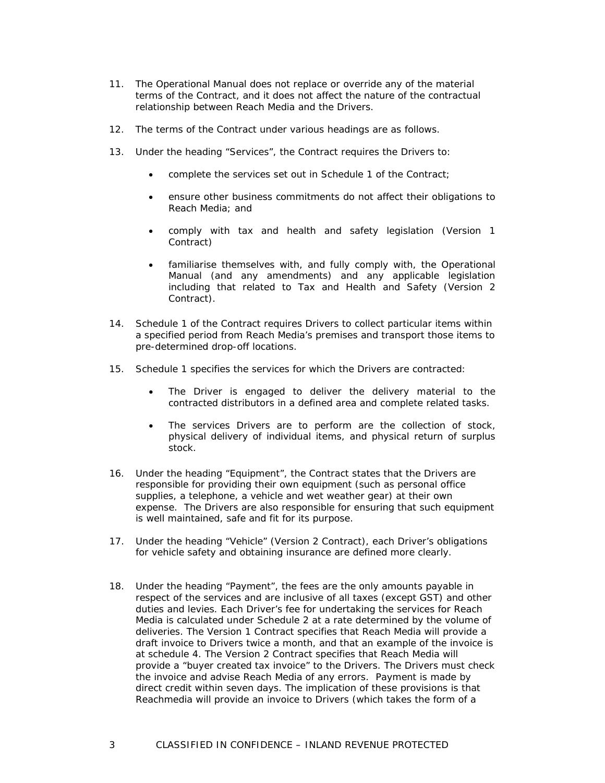- 11. The Operational Manual does not replace or override any of the material terms of the Contract, and it does not affect the nature of the contractual relationship between Reach Media and the Drivers.
- 12. The terms of the Contract under various headings are as follows.
- 13. Under the heading "Services", the Contract requires the Drivers to:
	- complete the services set out in Schedule 1 of the Contract;
	- ensure other business commitments do not affect their obligations to Reach Media; and
	- comply with tax and health and safety legislation (Version 1 Contract)
	- familiarise themselves with, and fully comply with, the Operational Manual (and any amendments) and any applicable legislation including that related to Tax and Health and Safety (Version 2 Contract).
- 14. Schedule 1 of the Contract requires Drivers to collect particular items within a specified period from Reach Media's premises and transport those items to pre-determined drop-off locations.
- 15. Schedule 1 specifies the services for which the Drivers are contracted:
	- The Driver is engaged to deliver the delivery material to the contracted distributors in a defined area and complete related tasks.
	- The services Drivers are to perform are the collection of stock, physical delivery of individual items, and physical return of surplus stock.
- 16. Under the heading "Equipment", the Contract states that the Drivers are responsible for providing their own equipment (such as personal office supplies, a telephone, a vehicle and wet weather gear) at their own expense. The Drivers are also responsible for ensuring that such equipment is well maintained, safe and fit for its purpose.
- 17. Under the heading "Vehicle" (Version 2 Contract), each Driver's obligations for vehicle safety and obtaining insurance are defined more clearly.
- 18. Under the heading "Payment", the fees are the only amounts payable in respect of the services and are inclusive of all taxes (except GST) and other duties and levies. Each Driver's fee for undertaking the services for Reach Media is calculated under Schedule 2 at a rate determined by the volume of deliveries. The Version 1 Contract specifies that Reach Media will provide a draft invoice to Drivers twice a month, and that an example of the invoice is at schedule 4. The Version 2 Contract specifies that Reach Media will provide a "buyer created tax invoice" to the Drivers. The Drivers must check the invoice and advise Reach Media of any errors. Payment is made by direct credit within seven days. The implication of these provisions is that Reachmedia will provide an invoice to Drivers (which takes the form of a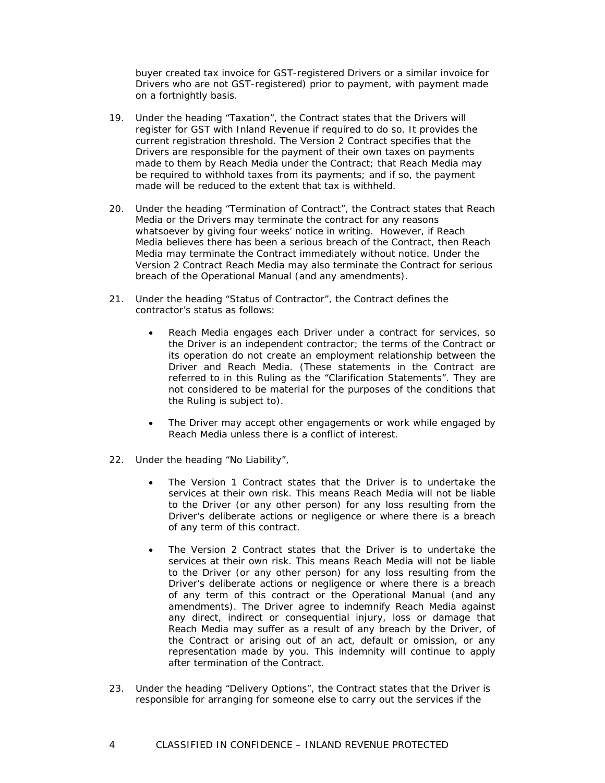buyer created tax invoice for GST-registered Drivers or a similar invoice for Drivers who are not GST-registered) prior to payment, with payment made on a fortnightly basis.

- 19. Under the heading "Taxation", the Contract states that the Drivers will register for GST with Inland Revenue if required to do so. It provides the current registration threshold. The Version 2 Contract specifies that the Drivers are responsible for the payment of their own taxes on payments made to them by Reach Media under the Contract; that Reach Media may be required to withhold taxes from its payments; and if so, the payment made will be reduced to the extent that tax is withheld.
- 20. Under the heading "Termination of Contract", the Contract states that Reach Media or the Drivers may terminate the contract for any reasons whatsoever by giving four weeks' notice in writing. However, if Reach Media believes there has been a serious breach of the Contract, then Reach Media may terminate the Contract immediately without notice. Under the Version 2 Contract Reach Media may also terminate the Contract for serious breach of the Operational Manual (and any amendments).
- 21. Under the heading "Status of Contractor", the Contract defines the contractor's status as follows:
	- Reach Media engages each Driver under a contract for services, so the Driver is an independent contractor; the terms of the Contract or its operation do not create an employment relationship between the Driver and Reach Media. (These statements in the Contract are referred to in this Ruling as the "Clarification Statements". They are not considered to be material for the purposes of the conditions that the Ruling is subject to).
	- The Driver may accept other engagements or work while engaged by Reach Media unless there is a conflict of interest.
- 22. Under the heading "No Liability",
	- The Version 1 Contract states that the Driver is to undertake the services at their own risk. This means Reach Media will not be liable to the Driver (or any other person) for any loss resulting from the Driver's deliberate actions or negligence or where there is a breach of any term of this contract.
	- The Version 2 Contract states that the Driver is to undertake the services at their own risk. This means Reach Media will not be liable to the Driver (or any other person) for any loss resulting from the Driver's deliberate actions or negligence or where there is a breach of any term of this contract or the Operational Manual (and any amendments). The Driver agree to indemnify Reach Media against any direct, indirect or consequential injury, loss or damage that Reach Media may suffer as a result of any breach by the Driver, of the Contract or arising out of an act, default or omission, or any representation made by you. This indemnity will continue to apply after termination of the Contract.
- 23. Under the heading "Delivery Options", the Contract states that the Driver is responsible for arranging for someone else to carry out the services if the